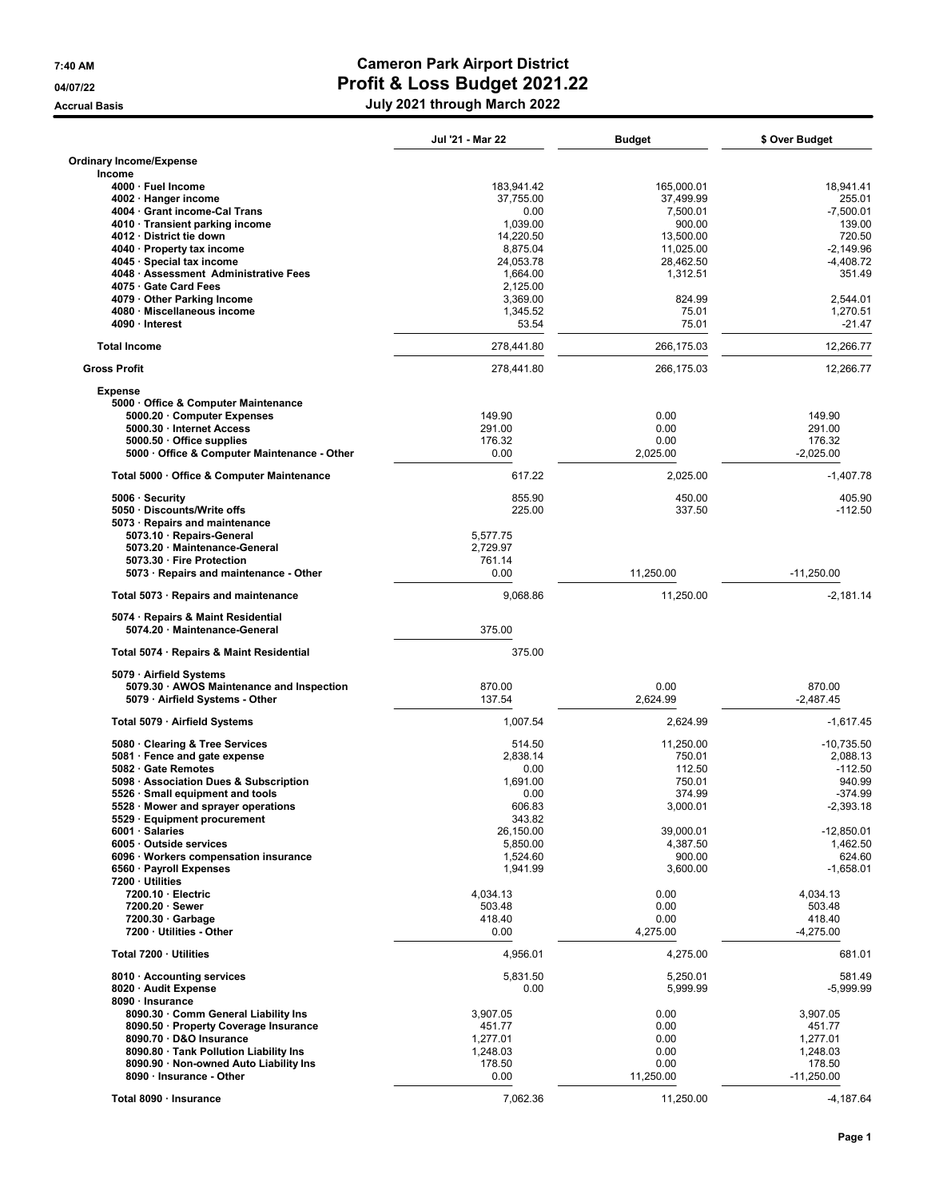## 7:40 AM Cameron Park Airport District 04/07/22 04/07/22 Profit & Loss Budget 2021.22 Accrual Basis **Accrual Basis** Accrual Basis **July 2021** through March 2022

|                                                                       | Jul '21 - Mar 22     | <b>Budget</b>    | \$ Over Budget        |
|-----------------------------------------------------------------------|----------------------|------------------|-----------------------|
| <b>Ordinary Income/Expense</b><br>Income                              |                      |                  |                       |
| 4000 · Fuel Income                                                    | 183,941.42           | 165,000.01       | 18,941.41             |
| 4002 · Hanger income                                                  | 37,755.00            | 37,499.99        | 255.01                |
| 4004 · Grant income-Cal Trans                                         | 0.00                 | 7,500.01         | $-7,500.01$           |
| 4010 Transient parking income                                         | 1,039.00             | 900.00           | 139.00                |
| 4012 District tie down                                                | 14,220.50            | 13,500.00        | 720.50                |
| 4040 · Property tax income                                            | 8,875.04             | 11,025.00        | $-2.149.96$           |
| 4045 · Special tax income                                             | 24,053.78            | 28,462.50        | $-4,408.72$           |
| 4048 · Assessment Administrative Fees                                 | 1,664.00             | 1,312.51         | 351.49                |
| 4075 Gate Card Fees                                                   | 2,125.00             |                  |                       |
| 4079 Other Parking Income<br>4080 · Miscellaneous income              | 3,369.00<br>1,345.52 | 824.99<br>75.01  | 2,544.01<br>1,270.51  |
| 4090 · Interest                                                       | 53.54                | 75.01            | -21.47                |
| <b>Total Income</b>                                                   | 278,441.80           | 266,175.03       | 12,266.77             |
| <b>Gross Profit</b>                                                   | 278,441.80           | 266,175.03       | 12,266.77             |
| <b>Expense</b>                                                        |                      |                  |                       |
| 5000 Office & Computer Maintenance                                    |                      |                  |                       |
| 5000.20 Computer Expenses                                             | 149.90               | 0.00             | 149.90                |
| 5000.30 · Internet Access                                             | 291.00               | 0.00             | 291.00                |
| 5000.50 Office supplies<br>5000 Office & Computer Maintenance - Other | 176.32<br>0.00       | 0.00<br>2,025.00 | 176.32<br>$-2,025.00$ |
|                                                                       |                      |                  |                       |
| Total 5000 · Office & Computer Maintenance                            | 617.22               | 2.025.00         | $-1,407.78$           |
| 5006 · Security                                                       | 855.90               | 450.00           | 405.90                |
| 5050 · Discounts/Write offs<br>5073 · Repairs and maintenance         | 225.00               | 337.50           | -112.50               |
| 5073.10 · Repairs-General                                             | 5,577.75             |                  |                       |
| 5073.20 · Maintenance-General                                         | 2,729.97             |                  |                       |
| 5073.30 · Fire Protection                                             | 761.14               |                  |                       |
| 5073 · Repairs and maintenance - Other                                | 0.00                 | 11,250.00        | $-11,250.00$          |
| Total 5073 · Repairs and maintenance                                  | 9,068.86             | 11,250.00        | $-2,181.14$           |
| 5074 · Repairs & Maint Residential                                    |                      |                  |                       |
| 5074.20 · Maintenance-General                                         | 375.00               |                  |                       |
| Total 5074 · Repairs & Maint Residential                              | 375.00               |                  |                       |
| 5079 · Airfield Systems                                               |                      |                  |                       |
| 5079.30 · AWOS Maintenance and Inspection                             | 870.00               | 0.00             | 870.00                |
| 5079 · Airfield Systems - Other                                       | 137.54               | 2,624.99         | $-2,487.45$           |
| Total 5079 · Airfield Systems                                         | 1,007.54             | 2,624.99         | $-1,617.45$           |
| 5080 Clearing & Tree Services                                         | 514.50               | 11,250.00        | $-10,735.50$          |
| 5081 · Fence and gate expense                                         | 2,838.14             | 750.01           | 2.088.13              |
| 5082 Gate Remotes                                                     | 0.00                 | 112.50           | $-112.50$             |
| 5098 · Association Dues & Subscription                                | 1,691.00             | 750.01           | 940.99                |
| 5526 · Small equipment and tools                                      | 0.00                 | 374.99           | $-374.99$             |
| 5528 · Mower and sprayer operations                                   | 606.83               | 3,000.01         | -2,393.18             |
| 5529 · Equipment procurement                                          | 343.82               |                  |                       |
| 6001 · Salaries                                                       | 26,150.00            | 39,000.01        | $-12,850.01$          |
| 6005 Outside services                                                 | 5,850.00             | 4,387.50         | 1,462.50              |
| 6096 · Workers compensation insurance                                 | 1,524.60             | 900.00           | 624.60                |
| 6560 · Payroll Expenses                                               | 1,941.99             | 3,600.00         | $-1,658.01$           |
| 7200 · Utilities                                                      |                      |                  |                       |
| 7200.10 · Electric                                                    | 4,034.13             | 0.00             | 4,034.13              |
| 7200.20 · Sewer                                                       | 503.48               | 0.00             | 503.48                |
| $7200.30 \cdot$ Garbage                                               | 418.40               | 0.00             | 418.40                |
| 7200 · Utilities - Other                                              | 0.00                 | 4,275.00         | $-4,275.00$           |
| Total 7200 · Utilities                                                | 4,956.01             | 4,275.00         | 681.01                |
| 8010 · Accounting services                                            | 5,831.50             | 5,250.01         | 581.49                |
| 8020 · Audit Expense                                                  | 0.00                 | 5,999.99         | $-5,999.99$           |
| 8090 · Insurance                                                      |                      |                  |                       |
| 8090.30 · Comm General Liability Ins                                  | 3,907.05             | 0.00             | 3,907.05              |
| 8090.50 · Property Coverage Insurance                                 | 451.77               | 0.00             | 451.77                |
| 8090.70 · D&O Insurance                                               | 1,277.01             | 0.00             | 1,277.01              |
| 8090.80 · Tank Pollution Liability Ins                                | 1,248.03             | 0.00             | 1,248.03              |
| 8090.90 · Non-owned Auto Liability Ins                                | 178.50               | 0.00             | 178.50                |
| 8090 · Insurance - Other                                              | 0.00                 | 11,250.00        | $-11,250.00$          |
| Total 8090 · Insurance                                                | 7,062.36             | 11,250.00        | $-4,187.64$           |
|                                                                       |                      |                  |                       |